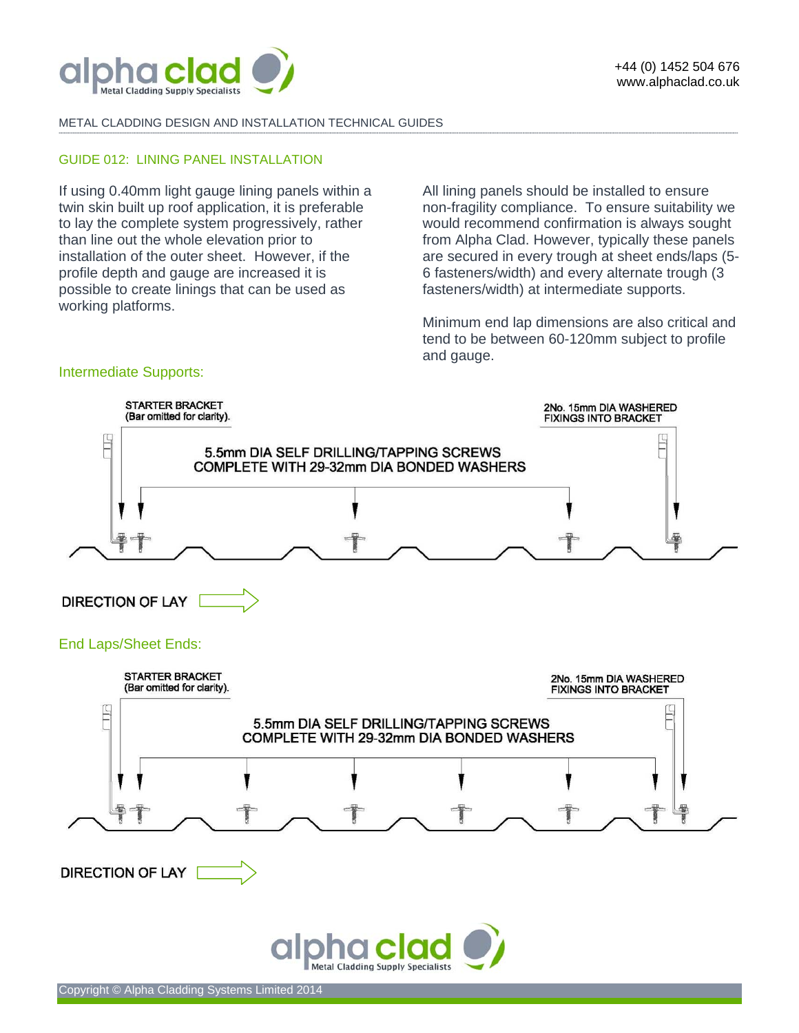

Intermediate Supports:

ł.

### METAL CLADDING DESIGN AND INSTALLATION TECHNICAL GUIDES

### GUIDE 012: LINING PANEL INSTALLATION

If using 0.40mm light gauge lining panels within a twin skin built up roof application, it is preferable to lay the complete system progressively, rather than line out the whole elevation prior to installation of the outer sheet. However, if the profile depth and gauge are increased it is possible to create linings that can be used as working platforms.

All lining panels should be installed to ensure non-fragility compliance. To ensure suitability we would recommend confirmation is always sought from Alpha Clad. However, typically these panels are secured in every trough at sheet ends/laps (5- 6 fasteners/width) and every alternate trough (3 fasteners/width) at intermediate supports.

Minimum end lap dimensions are also critical and tend to be between 60-120mm subject to profile and gauge.

# STARTER BRACKET 2No. 15mm DIA WASHERED<br>FIXINGS INTO BRACKET (Bar omitted for clarity). Ë 5.5mm DIA SELF DRILLING/TAPPING SCREWS COMPLETE WITH 29-32mm DIA BONDED WASHERS **DIRECTION OF LAY** End Laps/Sheet Ends: **STARTER BRACKET** 2No. 15mm DIA WASHERED (Bar omitted for clarity). **FIXINGS INTO BRACKET** E 5.5mm DIA SELF DRILLING/TAPPING SCREWS COMPLETE WITH 29-32mm DIA BONDED WASHERS

**-------------------------------------------------------------------------------------------------------------------------------------------------------------------------------------------------------------------------------------------------------------------------------------------------------------------------------------------------------------------------------------------------------** 



**DIRECTION OF LAY**